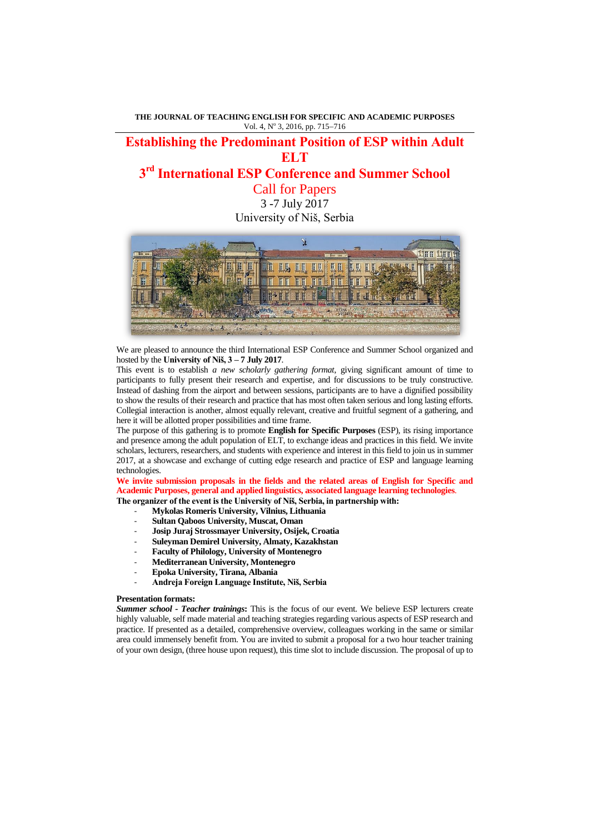**THE JOURNAL OF TEACHING ENGLISH FOR SPECIFIC AND ACADEMIC PURPOSES** Vol. 4, Nº 3, 2016, pp. 715-716

## **Establishing the Predominant Position of ESP within Adult ELT**

# **3 rd International ESP Conference and Summer School**

Call for Papers 3 -7 July 2017 University of Niš, Serbia



We are pleased to announce the third International ESP Conference and Summer School organized and hosted by the **University of Niš, 3 – 7 July 2017**.

This event is to establish *a new scholarly gathering format*, giving significant amount of time to participants to fully present their research and expertise, and for discussions to be truly constructive. Instead of dashing from the airport and between sessions, participants are to have a dignified possibility to show the results of their research and practice that has most often taken serious and long lasting efforts. Collegial interaction is another, almost equally relevant, creative and fruitful segment of a gathering, and here it will be allotted proper possibilities and time frame.

The purpose of this gathering is to promote **English for Specific Purposes** (ESP), its rising importance and presence among the adult population of ELT, to exchange ideas and practices in this field. We invite scholars, lecturers, researchers, and students with experience and interest in this field to join us in summer 2017, at a showcase and exchange of cutting edge research and practice of ESP and language learning technologies.

**We invite submission proposals in the fields and the related areas of English for Specific and Academic Purposes, general and applied linguistics, associated language learning technologies**. **The organizer of the event is the University of Niš, Serbia, in partnership with:**

- **Mykolas Romeris University, Vilnius, Lithuania** 

- **Sultan Qaboos University, Muscat, Oman**
- **Josip Juraj Strossmayer University, Osijek, Croatia**
- **Suleyman Demirel University, Almaty, Kazakhstan**
- **Faculty of Philology, University of Montenegro**
- **Mediterranean University, Montenegro**
- **Epoka University, Tirana, Albania**
- **Andreja Foreign Language Institute, Niš, Serbia**

## **Presentation formats:**

*Summer school - Teacher trainings***:** This is the focus of our event. We believe ESP lecturers create highly valuable, self made material and teaching strategies regarding various aspects of ESP research and practice. If presented as a detailed, comprehensive overview, colleagues working in the same or similar area could immensely benefit from. You are invited to submit a proposal for a two hour teacher training of your own design, (three house upon request), this time slot to include discussion. The proposal of up to